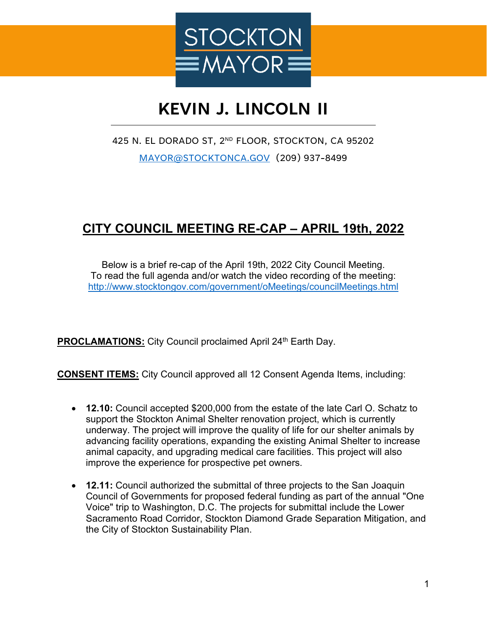

# **KEVIN J. LINCOLN II**

### 425 N. EL DORADO ST, 2ND FLOOR, STOCKTON, CA 95202 [MAYOR@STOCKTONCA.GOV](mailto:MAYOR@STOCKTONCA.GOV) (209) 937-8499

## **CITY COUNCIL MEETING RE-CAP – APRIL 19th, 2022**

Below is a brief re-cap of the April 19th, 2022 City Council Meeting. To read the full agenda and/or watch the video recording of the meeting: <http://www.stocktongov.com/government/oMeetings/councilMeetings.html>

**PROCLAMATIONS:** City Council proclaimed April 24<sup>th</sup> Earth Day.

**CONSENT ITEMS:** City Council approved all 12 Consent Agenda Items, including:

- **12.10:** Council accepted \$200,000 from the estate of the late Carl O. Schatz to support the Stockton Animal Shelter renovation project, which is currently underway. The project will improve the quality of life for our shelter animals by advancing facility operations, expanding the existing Animal Shelter to increase animal capacity, and upgrading medical care facilities. This project will also improve the experience for prospective pet owners.
- **12.11:** Council authorized the submittal of three projects to the San Joaquin Council of Governments for proposed federal funding as part of the annual "One Voice" trip to Washington, D.C. The projects for submittal include the Lower Sacramento Road Corridor, Stockton Diamond Grade Separation Mitigation, and the City of Stockton Sustainability Plan.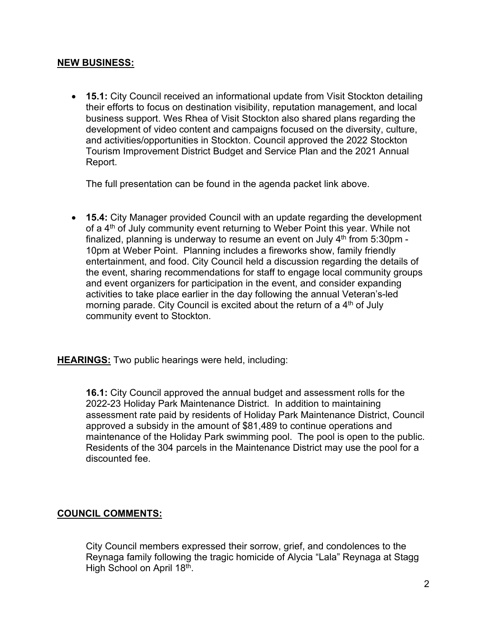#### **NEW BUSINESS:**

• **15.1:** City Council received an informational update from Visit Stockton detailing their efforts to focus on destination visibility, reputation management, and local business support. Wes Rhea of Visit Stockton also shared plans regarding the development of video content and campaigns focused on the diversity, culture, and activities/opportunities in Stockton. Council approved the 2022 Stockton Tourism Improvement District Budget and Service Plan and the 2021 Annual Report.

The full presentation can be found in the agenda packet link above.

• **15.4:** City Manager provided Council with an update regarding the development of a 4th of July community event returning to Weber Point this year. While not finalized, planning is underway to resume an event on July  $4<sup>th</sup>$  from 5:30pm -10pm at Weber Point. Planning includes a fireworks show, family friendly entertainment, and food. City Council held a discussion regarding the details of the event, sharing recommendations for staff to engage local community groups and event organizers for participation in the event, and consider expanding activities to take place earlier in the day following the annual Veteran's-led morning parade. City Council is excited about the return of a  $4<sup>th</sup>$  of July community event to Stockton.

**HEARINGS:** Two public hearings were held, including:

**16.1:** City Council approved the annual budget and assessment rolls for the 2022-23 Holiday Park Maintenance District. In addition to maintaining assessment rate paid by residents of Holiday Park Maintenance District, Council approved a subsidy in the amount of \$81,489 to continue operations and maintenance of the Holiday Park swimming pool. The pool is open to the public. Residents of the 304 parcels in the Maintenance District may use the pool for a discounted fee.

### **COUNCIL COMMENTS:**

City Council members expressed their sorrow, grief, and condolences to the Reynaga family following the tragic homicide of Alycia "Lala" Reynaga at Stagg High School on April 18<sup>th</sup>.